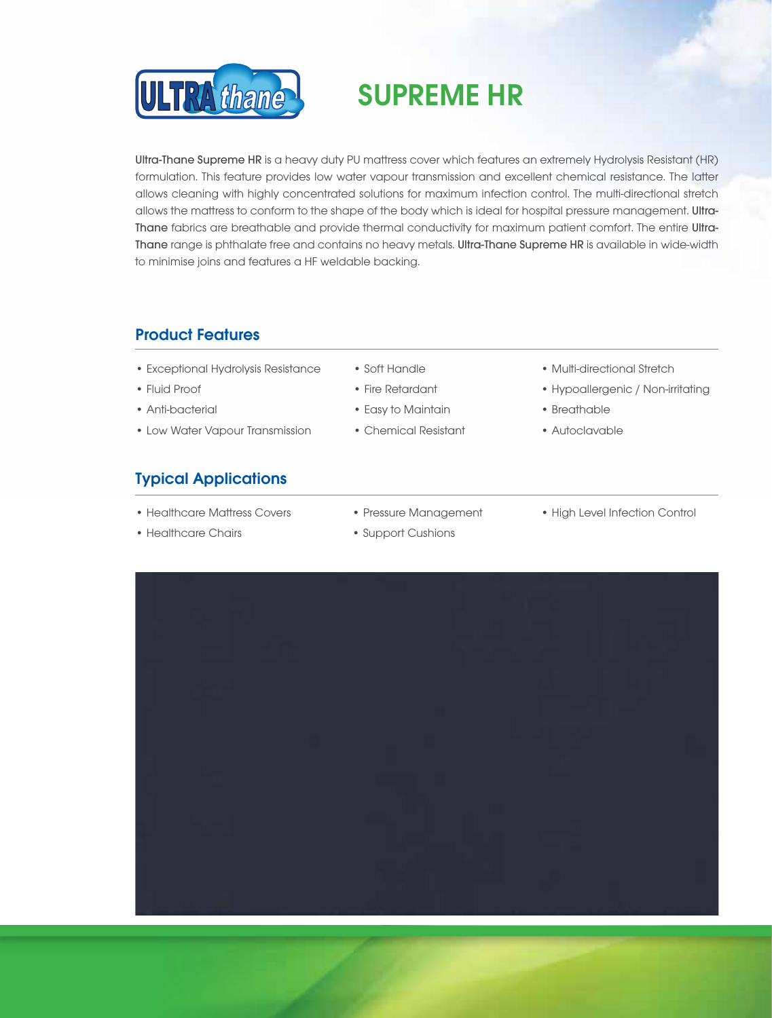

# SUPREME HR

Ultra-Thane Supreme HR is a heavy duty PU mattress cover which features an extremely Hydrolysis Resistant (HR) formulation. This feature provides low water vapour transmission and excellent chemical resistance. The latter allows cleaning with highly concentrated solutions for maximum infection control. The multi-directional stretch allows the mattress to conform to the shape of the body which is ideal for hospital pressure management. Ultra-Thane fabrics are breathable and provide thermal conductivity for maximum patient comfort. The entire Ultra-Thane range is phthalate free and contains no heavy metals. Ultra-Thane Supreme HR is available in wide-width to minimise joins and features a HF weldable backing.

### Product Features ļ

- Exceptional Hydrolysis Resistance Soft Handle • Multi-directional Stretch
- 
- Anti-bacterial Easy to Maintain Breathable
- Low Water Vapour Transmission Chemical Resistant Autoclavable

### Typical Applications

- Healthcare Mattress Covers Pressure Management High Level Infection Control
- Healthcare Chairs Support Cushions
- 
- 
- 
- 
- 
- Fluid Proof Fire Retardant Fire Retardant Hypoallergenic / Non-irritating
	-
	-
	-
-